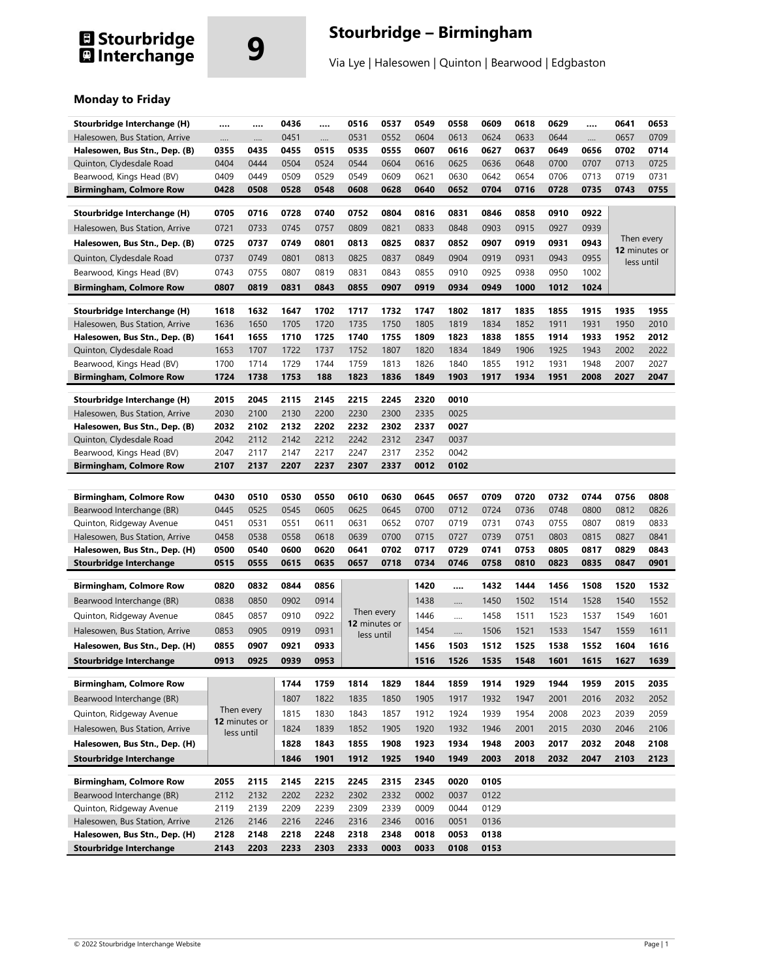# **El Stourbridge<br>El Interchange**

## **9 Stourbridge – Birmingham**

Via Lye | Halesowen | Quinton | Bearwood | Edgbaston

### **Monday to Friday**

| Stourbridge Interchange (H)    |      |               | 0436 |      | 0516          | 0537       | 0549 | 0558 | 0609 | 0618 | 0629 |      | 0641       | 0653          |
|--------------------------------|------|---------------|------|------|---------------|------------|------|------|------|------|------|------|------------|---------------|
| Halesowen, Bus Station, Arrive |      |               | 0451 |      | 0531          | 0552       | 0604 | 0613 | 0624 | 0633 | 0644 |      | 0657       | 0709          |
| Halesowen, Bus Stn., Dep. (B)  | 0355 | 0435          | 0455 | 0515 | 0535          | 0555       | 0607 | 0616 | 0627 | 0637 | 0649 | 0656 | 0702       | 0714          |
| Quinton, Clydesdale Road       | 0404 | 0444          | 0504 | 0524 | 0544          | 0604       | 0616 | 0625 | 0636 | 0648 | 0700 | 0707 | 0713       | 0725          |
| Bearwood, Kings Head (BV)      | 0409 | 0449          | 0509 | 0529 | 0549          | 0609       | 0621 | 0630 | 0642 | 0654 | 0706 | 0713 | 0719       | 0731          |
| <b>Birmingham, Colmore Row</b> | 0428 | 0508          | 0528 | 0548 | 0608          | 0628       | 0640 | 0652 | 0704 | 0716 | 0728 | 0735 | 0743       | 0755          |
| Stourbridge Interchange (H)    | 0705 | 0716          | 0728 | 0740 | 0752          | 0804       | 0816 | 0831 | 0846 | 0858 | 0910 | 0922 |            |               |
| Halesowen, Bus Station, Arrive | 0721 | 0733          | 0745 | 0757 | 0809          | 0821       | 0833 | 0848 | 0903 | 0915 | 0927 | 0939 |            |               |
| Halesowen, Bus Stn., Dep. (B)  | 0725 | 0737          | 0749 | 0801 | 0813          | 0825       | 0837 | 0852 | 0907 | 0919 | 0931 | 0943 |            | Then every    |
| Quinton, Clydesdale Road       | 0737 | 0749          | 0801 | 0813 | 0825          | 0837       | 0849 | 0904 | 0919 | 0931 | 0943 | 0955 |            | 12 minutes or |
|                                |      |               |      | 0819 | 0831          |            | 0855 | 0910 |      |      |      | 1002 | less until |               |
| Bearwood, Kings Head (BV)      | 0743 | 0755          | 0807 |      |               | 0843       |      |      | 0925 | 0938 | 0950 |      |            |               |
| <b>Birmingham, Colmore Row</b> | 0807 | 0819          | 0831 | 0843 | 0855          | 0907       | 0919 | 0934 | 0949 | 1000 | 1012 | 1024 |            |               |
| Stourbridge Interchange (H)    | 1618 | 1632          | 1647 | 1702 | 1717          | 1732       | 1747 | 1802 | 1817 | 1835 | 1855 | 1915 | 1935       | 1955          |
| Halesowen, Bus Station, Arrive | 1636 | 1650          | 1705 | 1720 | 1735          | 1750       | 1805 | 1819 | 1834 | 1852 | 1911 | 1931 | 1950       | 2010          |
| Halesowen, Bus Stn., Dep. (B)  | 1641 | 1655          | 1710 | 1725 | 1740          | 1755       | 1809 | 1823 | 1838 | 1855 | 1914 | 1933 | 1952       | 2012          |
| Quinton, Clydesdale Road       | 1653 | 1707          | 1722 | 1737 | 1752          | 1807       | 1820 | 1834 | 1849 | 1906 | 1925 | 1943 | 2002       | 2022          |
| Bearwood, Kings Head (BV)      | 1700 | 1714          | 1729 | 1744 | 1759          | 1813       | 1826 | 1840 | 1855 | 1912 | 1931 | 1948 | 2007       | 2027          |
| <b>Birmingham, Colmore Row</b> | 1724 | 1738          | 1753 | 188  | 1823          | 1836       | 1849 | 1903 | 1917 | 1934 | 1951 | 2008 | 2027       | 2047          |
| Stourbridge Interchange (H)    | 2015 | 2045          | 2115 | 2145 | 2215          | 2245       | 2320 | 0010 |      |      |      |      |            |               |
| Halesowen, Bus Station, Arrive | 2030 | 2100          | 2130 | 2200 | 2230          | 2300       | 2335 | 0025 |      |      |      |      |            |               |
| Halesowen, Bus Stn., Dep. (B)  | 2032 | 2102          | 2132 | 2202 | 2232          | 2302       | 2337 | 0027 |      |      |      |      |            |               |
| Quinton, Clydesdale Road       | 2042 | 2112          | 2142 | 2212 | 2242          | 2312       | 2347 | 0037 |      |      |      |      |            |               |
| Bearwood, Kings Head (BV)      | 2047 | 2117          | 2147 | 2217 | 2247          | 2317       | 2352 | 0042 |      |      |      |      |            |               |
| <b>Birmingham, Colmore Row</b> | 2107 | 2137          | 2207 | 2237 | 2307          | 2337       | 0012 | 0102 |      |      |      |      |            |               |
|                                |      |               |      |      |               |            |      |      |      |      |      |      |            |               |
| <b>Birmingham, Colmore Row</b> | 0430 | 0510          | 0530 | 0550 | 0610          | 0630       | 0645 | 0657 | 0709 | 0720 | 0732 | 0744 | 0756       | 0808          |
| Bearwood Interchange (BR)      | 0445 | 0525          | 0545 | 0605 | 0625          | 0645       | 0700 | 0712 | 0724 | 0736 | 0748 | 0800 | 0812       | 0826          |
| Quinton, Ridgeway Avenue       | 0451 | 0531          | 0551 | 0611 | 0631          | 0652       | 0707 | 0719 | 0731 | 0743 | 0755 | 0807 | 0819       | 0833          |
| Halesowen, Bus Station, Arrive | 0458 | 0538          | 0558 | 0618 | 0639          | 0700       | 0715 | 0727 | 0739 | 0751 | 0803 | 0815 | 0827       | 0841          |
| Halesowen, Bus Stn., Dep. (H)  | 0500 | 0540          | 0600 | 0620 | 0641          | 0702       | 0717 | 0729 | 0741 | 0753 | 0805 | 0817 | 0829       | 0843          |
| Stourbridge Interchange        | 0515 | 0555          | 0615 | 0635 | 0657          | 0718       | 0734 | 0746 | 0758 | 0810 | 0823 | 0835 | 0847       | 0901          |
| <b>Birmingham, Colmore Row</b> | 0820 | 0832          | 0844 | 0856 |               |            | 1420 |      | 1432 | 1444 | 1456 | 1508 | 1520       | 1532          |
| Bearwood Interchange (BR)      | 0838 | 0850          | 0902 | 0914 |               |            | 1438 |      | 1450 | 1502 | 1514 | 1528 | 1540       | 1552          |
|                                |      | 0857          | 0910 | 0922 |               | Then every | 1446 |      | 1458 |      |      |      |            |               |
| Quinton, Ridgeway Avenue       | 0845 |               |      |      | 12 minutes or |            |      |      |      | 1511 | 1523 | 1537 | 1549       | 1601          |
| Halesowen, Bus Station, Arrive | 0853 | 0905          | 0919 | 0931 | less until    |            | 1454 |      | 1506 | 1521 | 1533 | 1547 | 1559       | 1611          |
| Halesowen, Bus Stn., Dep. (H)  | 0855 | 0907          | 0921 | 0933 |               |            | 1456 | 1503 | 1512 | 1525 | 1538 | 1552 | 1604       | 1616          |
| Stourbridge Interchange        | 0913 | 0925          | 0939 | 0953 |               |            | 1516 | 1526 | 1535 | 1548 | 1601 | 1615 | 1627       | 1639          |
| Birmingham, Colmore Row        |      |               | 1744 | 1759 | 1814          | 1829       | 1844 | 1859 | 1914 | 1929 | 1944 | 1959 | 2015       | 2035          |
| Bearwood Interchange (BR)      |      |               | 1807 | 1822 | 1835          | 1850       | 1905 | 1917 | 1932 | 1947 | 2001 | 2016 | 2032       | 2052          |
| Quinton, Ridgeway Avenue       |      | Then every    | 1815 | 1830 | 1843          | 1857       | 1912 | 1924 | 1939 | 1954 | 2008 | 2023 | 2039       | 2059          |
| Halesowen, Bus Station, Arrive |      | 12 minutes or | 1824 | 1839 | 1852          | 1905       | 1920 | 1932 | 1946 | 2001 | 2015 | 2030 | 2046       | 2106          |
| Halesowen, Bus Stn., Dep. (H)  |      | less until    | 1828 | 1843 | 1855          | 1908       | 1923 | 1934 | 1948 | 2003 | 2017 | 2032 | 2048       | 2108          |
| <b>Stourbridge Interchange</b> |      |               | 1846 | 1901 | 1912          | 1925       | 1940 | 1949 | 2003 | 2018 | 2032 | 2047 | 2103       | 2123          |
|                                |      |               |      |      |               |            |      |      |      |      |      |      |            |               |
| <b>Birmingham, Colmore Row</b> | 2055 | 2115          | 2145 | 2215 | 2245          | 2315       | 2345 | 0020 | 0105 |      |      |      |            |               |
| Bearwood Interchange (BR)      | 2112 | 2132          | 2202 | 2232 | 2302          | 2332       | 0002 | 0037 | 0122 |      |      |      |            |               |
| Quinton, Ridgeway Avenue       | 2119 | 2139          | 2209 | 2239 | 2309          | 2339       | 0009 | 0044 | 0129 |      |      |      |            |               |
| Halesowen, Bus Station, Arrive | 2126 | 2146          | 2216 | 2246 | 2316          | 2346       | 0016 | 0051 | 0136 |      |      |      |            |               |
| Halesowen, Bus Stn., Dep. (H)  | 2128 | 2148          | 2218 | 2248 | 2318          | 2348       | 0018 | 0053 | 0138 |      |      |      |            |               |
| <b>Stourbridge Interchange</b> | 2143 | 2203          | 2233 | 2303 | 2333          | 0003       | 0033 | 0108 | 0153 |      |      |      |            |               |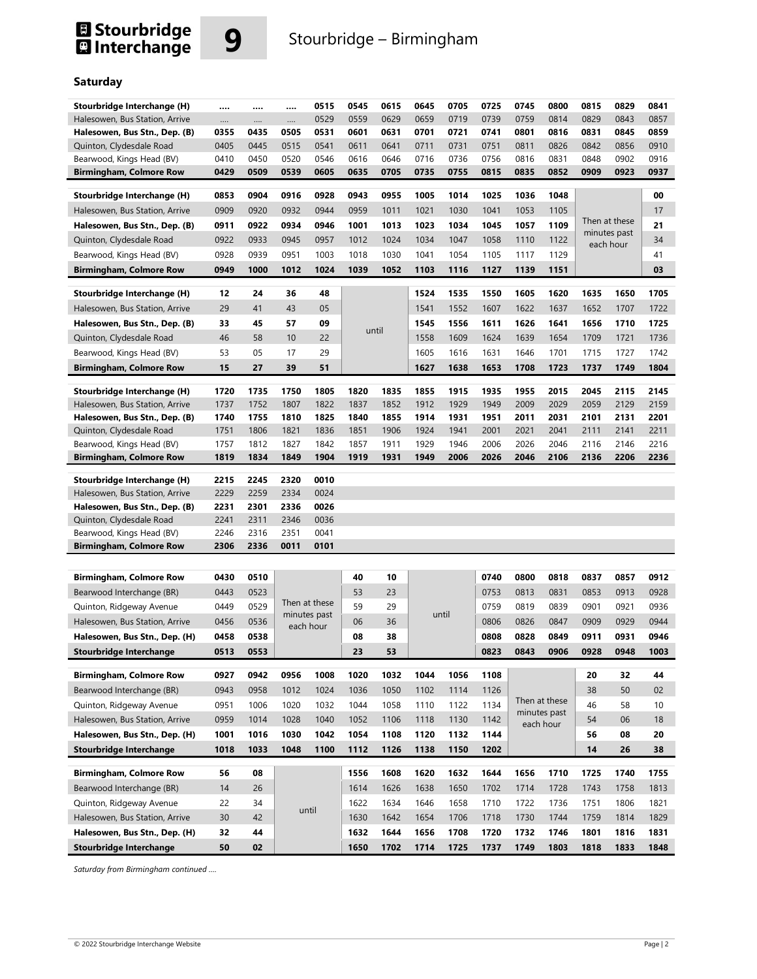## **El Stourbridge<br>El Interchange**



### **Saturday**

| Stourbridge Interchange (H)    |              |              |              | 0515          | 0545 | 0615  | 0645  | 0705 | 0725 | 0745 | 0800          | 0815 | 0829                          | 0841 |
|--------------------------------|--------------|--------------|--------------|---------------|------|-------|-------|------|------|------|---------------|------|-------------------------------|------|
| Halesowen, Bus Station, Arrive | <br>$\cdots$ | <br>$\cdots$ | <br>$\cdots$ | 0529          | 0559 | 0629  | 0659  | 0719 | 0739 | 0759 | 0814          | 0829 | 0843                          | 0857 |
| Halesowen, Bus Stn., Dep. (B)  | 0355         | 0435         | 0505         | 0531          | 0601 | 0631  | 0701  | 0721 | 0741 | 0801 | 0816          | 0831 | 0845                          | 0859 |
| Quinton, Clydesdale Road       | 0405         | 0445         | 0515         | 0541          | 0611 | 0641  | 0711  | 0731 | 0751 | 0811 | 0826          | 0842 | 0856                          | 0910 |
| Bearwood, Kings Head (BV)      | 0410         | 0450         | 0520         | 0546          | 0616 | 0646  | 0716  | 0736 | 0756 | 0816 | 0831          | 0848 | 0902                          | 0916 |
| <b>Birmingham, Colmore Row</b> | 0429         | 0509         | 0539         | 0605          | 0635 | 0705  | 0735  | 0755 | 0815 | 0835 | 0852          | 0909 | 0923                          | 0937 |
|                                |              |              |              |               |      |       |       |      |      |      |               |      |                               |      |
| Stourbridge Interchange (H)    | 0853         | 0904         | 0916         | 0928          | 0943 | 0955  | 1005  | 1014 | 1025 | 1036 | 1048          |      |                               | 00   |
| Halesowen, Bus Station, Arrive | 0909         | 0920         | 0932         | 0944          | 0959 | 1011  | 1021  | 1030 | 1041 | 1053 | 1105          |      |                               | 17   |
| Halesowen, Bus Stn., Dep. (B)  | 0911         | 0922         | 0934         | 0946          | 1001 | 1013  | 1023  | 1034 | 1045 | 1057 | 1109          |      | Then at these<br>minutes past | 21   |
| Quinton, Clydesdale Road       | 0922         | 0933         | 0945         | 0957          | 1012 | 1024  | 1034  | 1047 | 1058 | 1110 | 1122          |      | each hour                     | 34   |
| Bearwood, Kings Head (BV)      | 0928         | 0939         | 0951         | 1003          | 1018 | 1030  | 1041  | 1054 | 1105 | 1117 | 1129          |      |                               | 41   |
| <b>Birmingham, Colmore Row</b> | 0949         | 1000         | 1012         | 1024          | 1039 | 1052  | 1103  | 1116 | 1127 | 1139 | 1151          |      |                               | 03   |
|                                |              |              |              |               |      |       |       |      |      |      |               |      |                               |      |
| Stourbridge Interchange (H)    | 12           | 24           | 36           | 48            |      |       | 1524  | 1535 | 1550 | 1605 | 1620          | 1635 | 1650                          | 1705 |
| Halesowen, Bus Station, Arrive | 29           | 41           | 43           | 05            |      |       | 1541  | 1552 | 1607 | 1622 | 1637          | 1652 | 1707                          | 1722 |
| Halesowen, Bus Stn., Dep. (B)  | 33           | 45           | 57           | 09            |      | until | 1545  | 1556 | 1611 | 1626 | 1641          | 1656 | 1710                          | 1725 |
| Quinton, Clydesdale Road       | 46           | 58           | 10           | 22            |      |       | 1558  | 1609 | 1624 | 1639 | 1654          | 1709 | 1721                          | 1736 |
| Bearwood, Kings Head (BV)      | 53           | 05           | 17           | 29            |      |       | 1605  | 1616 | 1631 | 1646 | 1701          | 1715 | 1727                          | 1742 |
| <b>Birmingham, Colmore Row</b> | 15           | 27           | 39           | 51            |      |       | 1627  | 1638 | 1653 | 1708 | 1723          | 1737 | 1749                          | 1804 |
|                                |              |              |              |               |      |       |       |      |      |      |               |      |                               |      |
| Stourbridge Interchange (H)    | 1720         | 1735         | 1750         | 1805          | 1820 | 1835  | 1855  | 1915 | 1935 | 1955 | 2015          | 2045 | 2115                          | 2145 |
| Halesowen, Bus Station, Arrive | 1737         | 1752         | 1807         | 1822          | 1837 | 1852  | 1912  | 1929 | 1949 | 2009 | 2029          | 2059 | 2129                          | 2159 |
| Halesowen, Bus Stn., Dep. (B)  | 1740         | 1755         | 1810         | 1825          | 1840 | 1855  | 1914  | 1931 | 1951 | 2011 | 2031          | 2101 | 2131                          | 2201 |
| Quinton, Clydesdale Road       | 1751         | 1806         | 1821         | 1836          | 1851 | 1906  | 1924  | 1941 | 2001 | 2021 | 2041          | 2111 | 2141                          | 2211 |
| Bearwood, Kings Head (BV)      | 1757         | 1812         | 1827         | 1842          | 1857 | 1911  | 1929  | 1946 | 2006 | 2026 | 2046          | 2116 | 2146                          | 2216 |
| <b>Birmingham, Colmore Row</b> | 1819         | 1834         | 1849         | 1904          | 1919 | 1931  | 1949  | 2006 | 2026 | 2046 | 2106          | 2136 | 2206                          | 2236 |
|                                |              |              |              |               |      |       |       |      |      |      |               |      |                               |      |
| Stourbridge Interchange (H)    | 2215         | 2245         | 2320         | 0010          |      |       |       |      |      |      |               |      |                               |      |
| Halesowen, Bus Station, Arrive | 2229         | 2259         | 2334         | 0024          |      |       |       |      |      |      |               |      |                               |      |
| Halesowen, Bus Stn., Dep. (B)  | 2231         | 2301         | 2336         | 0026          |      |       |       |      |      |      |               |      |                               |      |
| Quinton, Clydesdale Road       | 2241         | 2311         | 2346         | 0036          |      |       |       |      |      |      |               |      |                               |      |
| Bearwood, Kings Head (BV)      | 2246         | 2316         | 2351         | 0041          |      |       |       |      |      |      |               |      |                               |      |
| <b>Birmingham, Colmore Row</b> | 2306         | 2336         | 0011         | 0101          |      |       |       |      |      |      |               |      |                               |      |
|                                |              |              |              |               |      |       |       |      |      |      |               |      |                               |      |
| <b>Birmingham, Colmore Row</b> | 0430         | 0510         |              |               | 40   | 10    |       |      | 0740 | 0800 | 0818          | 0837 | 0857                          | 0912 |
| Bearwood Interchange (BR)      | 0443         | 0523         |              |               | 53   | 23    |       |      | 0753 | 0813 | 0831          | 0853 | 0913                          | 0928 |
| Quinton, Ridgeway Avenue       | 0449         | 0529         |              | Then at these | 59   | 29    |       |      | 0759 | 0819 | 0839          | 0901 | 0921                          | 0936 |
|                                |              |              |              | minutes past  |      |       | until |      | 0806 | 0826 | 0847          | 0909 | 0929                          | 0944 |
| Halesowen, Bus Station, Arrive | 0456         | 0536         |              | each hour     | 06   | 36    |       |      |      |      |               |      |                               |      |
| Halesowen, Bus Stn., Dep. (H)  | 0458         | 0538         |              |               | 08   | 38    |       |      | 0808 | 0828 | 0849          | 0911 | 0931                          | 0946 |
| <b>Stourbridge Interchange</b> | 0513         | 0553         |              |               | 23   | 53    |       |      | 0823 | 0843 | 0906          | 0928 | 0948                          | 1003 |
| <b>Birmingham, Colmore Row</b> | 0927         | 0942         | 0956         | 1008          | 1020 | 1032  | 1044  | 1056 | 1108 |      |               | 20   | 32                            | 44   |
| Bearwood Interchange (BR)      | 0943         | 0958         | 1012         | 1024          | 1036 | 1050  | 1102  | 1114 | 1126 |      |               | 38   | 50                            | 02   |
| Quinton, Ridgeway Avenue       | 0951         | 1006         | 1020         | 1032          | 1044 | 1058  | 1110  | 1122 | 1134 |      | Then at these | 46   | 58                            | 10   |
| Halesowen, Bus Station, Arrive | 0959         | 1014         | 1028         | 1040          | 1052 | 1106  | 1118  | 1130 | 1142 |      | minutes past  | 54   | 06                            | 18   |
| Halesowen, Bus Stn., Dep. (H)  | 1001         | 1016         | 1030         | 1042          | 1054 | 1108  | 1120  | 1132 | 1144 |      | each hour     | 56   | 08                            | 20   |
| <b>Stourbridge Interchange</b> | 1018         | 1033         | 1048         | 1100          | 1112 | 1126  | 1138  | 1150 | 1202 |      |               | 14   | 26                            | 38   |
|                                |              |              |              |               |      |       |       |      |      |      |               |      |                               |      |
| <b>Birmingham, Colmore Row</b> | 56           | 08           |              |               | 1556 | 1608  | 1620  | 1632 | 1644 | 1656 | 1710          | 1725 | 1740                          | 1755 |
| Bearwood Interchange (BR)      | 14           | 26           |              |               | 1614 | 1626  | 1638  | 1650 | 1702 | 1714 | 1728          | 1743 | 1758                          | 1813 |
| Quinton, Ridgeway Avenue       | 22           | 34           |              |               | 1622 | 1634  | 1646  | 1658 | 1710 | 1722 | 1736          | 1751 | 1806                          | 1821 |
| Halesowen, Bus Station, Arrive | 30           | 42           |              | until         | 1630 | 1642  | 1654  | 1706 | 1718 | 1730 | 1744          | 1759 | 1814                          | 1829 |
| Halesowen, Bus Stn., Dep. (H)  | 32           | 44           |              |               | 1632 | 1644  | 1656  | 1708 | 1720 | 1732 | 1746          | 1801 | 1816                          | 1831 |

*Saturday from Birmingham continued ….*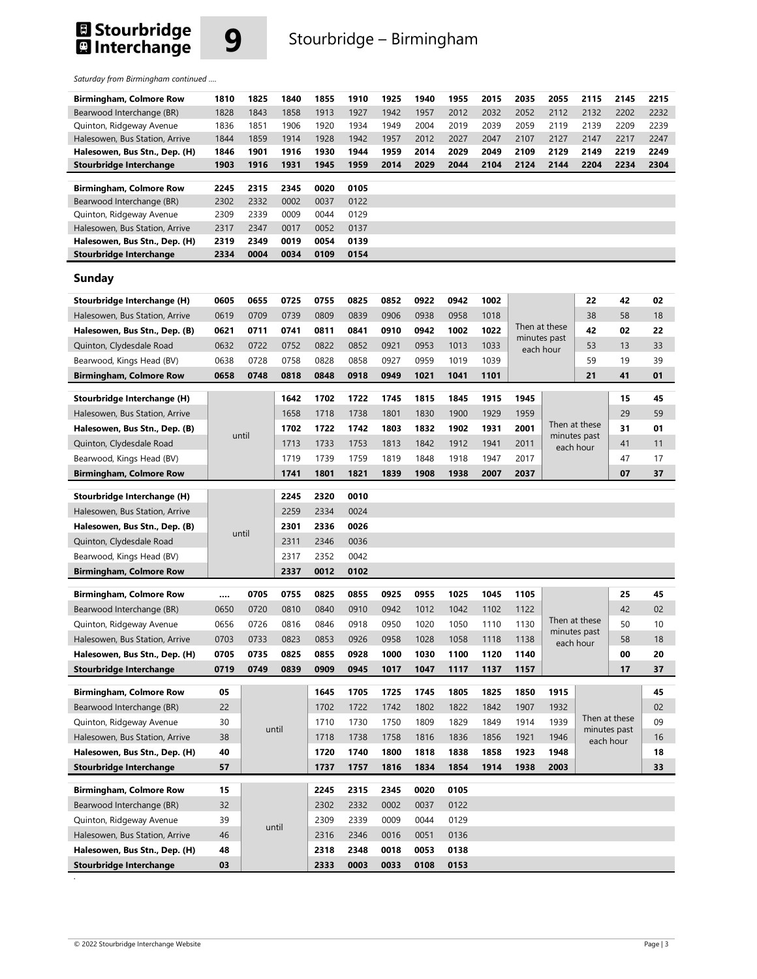## **El Stourbridge**<br>**El** Interchange



*Saturday from Birmingham continued ….* 

| Birmingham, Colmore Row                                         | 1810     | 1825  | 1840  | 1855         | 1910         | 1925         | 1940         | 1955         | 2015 | 2035          | 2055                      | 2115          | 2145          | 2215 |
|-----------------------------------------------------------------|----------|-------|-------|--------------|--------------|--------------|--------------|--------------|------|---------------|---------------------------|---------------|---------------|------|
| Bearwood Interchange (BR)                                       | 1828     | 1843  | 1858  | 1913         | 1927         | 1942         | 1957         | 2012         | 2032 | 2052          | 2112                      | 2132          | 2202          | 2232 |
| Quinton, Ridgeway Avenue                                        | 1836     | 1851  | 1906  | 1920         | 1934         | 1949         | 2004         | 2019         | 2039 | 2059          | 2119                      | 2139          | 2209          | 2239 |
| Halesowen, Bus Station, Arrive                                  | 1844     | 1859  | 1914  | 1928         | 1942         | 1957         | 2012         | 2027         | 2047 | 2107          | 2127                      | 2147          | 2217          | 2247 |
| Halesowen, Bus Stn., Dep. (H)                                   | 1846     | 1901  | 1916  | 1930         | 1944         | 1959         | 2014         | 2029         | 2049 | 2109          | 2129                      | 2149          | 2219          | 2249 |
| <b>Stourbridge Interchange</b>                                  | 1903     | 1916  | 1931  | 1945         | 1959         | 2014         | 2029         | 2044         | 2104 | 2124          | 2144                      | 2204          | 2234          | 2304 |
| <b>Birmingham, Colmore Row</b>                                  | 2245     | 2315  | 2345  | 0020         | 0105         |              |              |              |      |               |                           |               |               |      |
| Bearwood Interchange (BR)                                       | 2302     | 2332  | 0002  | 0037         | 0122         |              |              |              |      |               |                           |               |               |      |
| Quinton, Ridgeway Avenue                                        | 2309     | 2339  | 0009  | 0044         | 0129         |              |              |              |      |               |                           |               |               |      |
| Halesowen, Bus Station, Arrive                                  | 2317     | 2347  | 0017  | 0052         | 0137         |              |              |              |      |               |                           |               |               |      |
| Halesowen, Bus Stn., Dep. (H)                                   | 2319     | 2349  | 0019  | 0054         | 0139         |              |              |              |      |               |                           |               |               |      |
| Stourbridge Interchange                                         | 2334     | 0004  | 0034  | 0109         | 0154         |              |              |              |      |               |                           |               |               |      |
|                                                                 |          |       |       |              |              |              |              |              |      |               |                           |               |               |      |
| <b>Sunday</b>                                                   |          |       |       |              |              |              |              |              |      |               |                           |               |               |      |
| Stourbridge Interchange (H)                                     | 0605     | 0655  | 0725  | 0755         | 0825         | 0852         | 0922         | 0942         | 1002 |               |                           | 22            | 42            | 02   |
| Halesowen, Bus Station, Arrive                                  | 0619     | 0709  | 0739  | 0809         | 0839         | 0906         | 0938         | 0958         | 1018 |               |                           | 38            | 58            | 18   |
|                                                                 | 0621     | 0711  | 0741  | 0811         | 0841         | 0910         | 0942         | 1002         | 1022 | Then at these |                           | 42            | 02            | 22   |
| Halesowen, Bus Stn., Dep. (B)                                   |          |       |       |              |              |              |              |              |      |               | minutes past              |               |               |      |
| Quinton, Clydesdale Road                                        | 0632     | 0722  | 0752  | 0822         | 0852         | 0921         | 0953         | 1013         | 1033 | each hour     |                           | 53            | 13            | 33   |
| Bearwood, Kings Head (BV)                                       | 0638     | 0728  | 0758  | 0828         | 0858         | 0927         | 0959         | 1019         | 1039 |               |                           | 59            | 19            | 39   |
| <b>Birmingham, Colmore Row</b>                                  | 0658     | 0748  | 0818  | 0848         | 0918         | 0949         | 1021         | 1041         | 1101 |               |                           | 21            | 41            | 01   |
| Stourbridge Interchange (H)                                     |          |       | 1642  | 1702         | 1722         | 1745         | 1815         | 1845         | 1915 | 1945          |                           |               | 15            | 45   |
| Halesowen, Bus Station, Arrive                                  |          |       | 1658  | 1718         | 1738         | 1801         | 1830         | 1900         | 1929 | 1959          |                           |               | 29            | 59   |
| Halesowen, Bus Stn., Dep. (B)                                   |          |       | 1702  | 1722         | 1742         | 1803         | 1832         | 1902         | 1931 | 2001          |                           | Then at these | 31            | 01   |
|                                                                 | until    |       |       |              |              |              |              |              |      |               | minutes past<br>each hour |               |               |      |
| Quinton, Clydesdale Road                                        |          |       | 1713  | 1733         | 1753         | 1813         | 1842         | 1912         | 1941 | 2011          |                           |               | 41            | 11   |
| Bearwood, Kings Head (BV)                                       |          |       | 1719  | 1739         | 1759         | 1819         | 1848         | 1918         | 1947 | 2017          |                           |               | 47            | 17   |
| <b>Birmingham, Colmore Row</b>                                  |          |       | 1741  | 1801         | 1821         | 1839         | 1908         | 1938         | 2007 | 2037          |                           |               | 07            | 37   |
|                                                                 |          |       |       |              |              |              |              |              |      |               |                           |               |               |      |
|                                                                 |          |       |       |              |              |              |              |              |      |               |                           |               |               |      |
| Stourbridge Interchange (H)                                     |          |       | 2245  | 2320         | 0010         |              |              |              |      |               |                           |               |               |      |
| Halesowen, Bus Station, Arrive                                  |          |       | 2259  | 2334         | 0024         |              |              |              |      |               |                           |               |               |      |
| Halesowen, Bus Stn., Dep. (B)                                   |          | until | 2301  | 2336         | 0026         |              |              |              |      |               |                           |               |               |      |
| Quinton, Clydesdale Road                                        |          |       | 2311  | 2346         | 0036         |              |              |              |      |               |                           |               |               |      |
| Bearwood, Kings Head (BV)                                       |          |       | 2317  | 2352         | 0042         |              |              |              |      |               |                           |               |               |      |
| <b>Birmingham, Colmore Row</b>                                  |          |       | 2337  | 0012         | 0102         |              |              |              |      |               |                           |               |               |      |
|                                                                 |          | 0705  |       | 0825         | 0855         | 0925         | 0955         |              |      | 1105          |                           |               |               | 45   |
| Birmingham, Colmore Row                                         |          |       | 0755  |              |              |              |              | 1025         | 1045 |               |                           |               | 25            |      |
| Bearwood Interchange (BR)                                       | 0650     | 0720  | 0810  | 0840         | 0910         | 0942         | 1012         | 1042         | 1102 | 1122          | Then at these             |               | 42            | 02   |
| Quinton, Ridgeway Avenue                                        | 0656     | 0726  | 0816  | 0846         | 0918         | 0950         | 1020         | 1050         | 1110 | 1130          |                           | minutes past  | 50            | 10   |
| Halesowen, Bus Station, Arrive                                  | 0703     | 0733  | 0823  | 0853         | 0926         | 0958         | 1028         | 1058         | 1118 | 1138          |                           | each hour     | 58            | 18   |
| Halesowen, Bus Stn., Dep. (H)                                   | 0705     | 0735  | 0825  | 0855         | 0928         | 1000         | 1030         | 1100         | 1120 | 1140          |                           |               | 00            | 20   |
| <b>Stourbridge Interchange</b>                                  | 0719     | 0749  | 0839  | 0909         | 0945         | 1017         | 1047         | 1117         | 1137 | 1157          |                           |               | 17            | 37   |
| <b>Birmingham, Colmore Row</b>                                  | 05       |       |       | 1645         | 1705         | 1725         | 1745         | 1805         | 1825 | 1850          | 1915                      |               |               | 45   |
|                                                                 |          |       |       |              |              |              |              |              |      |               |                           |               |               | 02   |
| Bearwood Interchange (BR)                                       | 22       |       |       | 1702         | 1722         | 1742         | 1802         | 1822         | 1842 | 1907          | 1932                      |               | Then at these |      |
| Quinton, Ridgeway Avenue                                        | 30       |       | until | 1710         | 1730         | 1750         | 1809         | 1829         | 1849 | 1914          | 1939                      |               | minutes past  | 09   |
| Halesowen, Bus Station, Arrive                                  | 38       |       |       | 1718         | 1738         | 1758         | 1816         | 1836         | 1856 | 1921          | 1946                      |               | each hour     | 16   |
| Halesowen, Bus Stn., Dep. (H)                                   | 40       |       |       | 1720         | 1740         | 1800         | 1818         | 1838         | 1858 | 1923          | 1948                      |               |               | 18   |
| <b>Stourbridge Interchange</b>                                  | 57       |       |       | 1737         | 1757         | 1816         | 1834         | 1854         | 1914 | 1938          | 2003                      |               |               | 33   |
| <b>Birmingham, Colmore Row</b>                                  | 15       |       |       | 2245         | 2315         | 2345         | 0020         | 0105         |      |               |                           |               |               |      |
| Bearwood Interchange (BR)                                       | 32       |       |       | 2302         | 2332         | 0002         | 0037         | 0122         |      |               |                           |               |               |      |
|                                                                 | 39       |       |       | 2309         | 2339         | 0009         | 0044         | 0129         |      |               |                           |               |               |      |
| Quinton, Ridgeway Avenue                                        |          |       | until |              |              |              |              |              |      |               |                           |               |               |      |
| Halesowen, Bus Station, Arrive                                  | 46       |       |       | 2316         | 2346         | 0016         | 0051         | 0136         |      |               |                           |               |               |      |
| Halesowen, Bus Stn., Dep. (H)<br><b>Stourbridge Interchange</b> | 48<br>03 |       |       | 2318<br>2333 | 2348<br>0003 | 0018<br>0033 | 0053<br>0108 | 0138<br>0153 |      |               |                           |               |               |      |

**.**